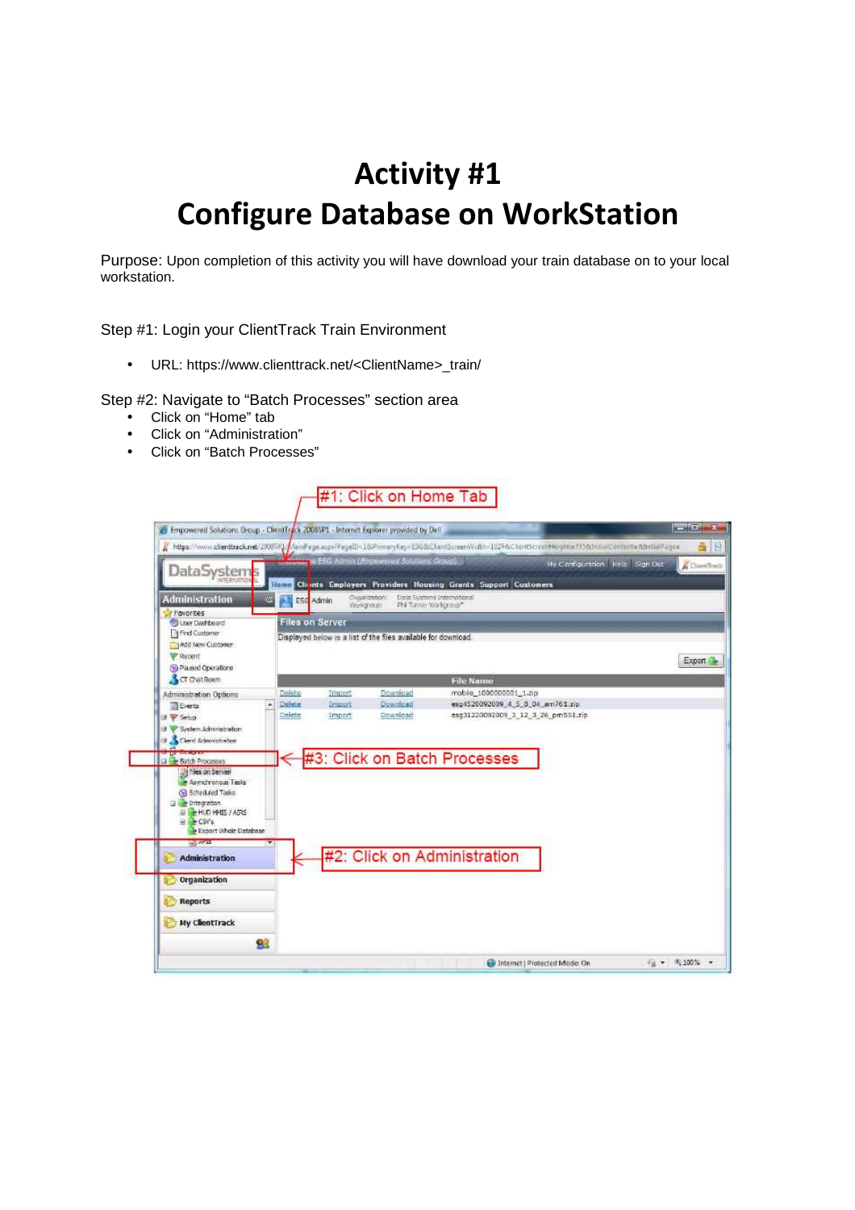## **Activity #1 Configure Database on WorkStation**

Purpose: Upon completion of this activity you will have download your train database on to your local workstation.

Step #1: Login your ClientTrack Train Environment

• URL: https://www.clienttrack.net/<ClientName>\_train/

Step #2: Navigate to "Batch Processes" section area

- Click on "Home" tab
- Click on "Administration"
- Click on "Batch Processes"

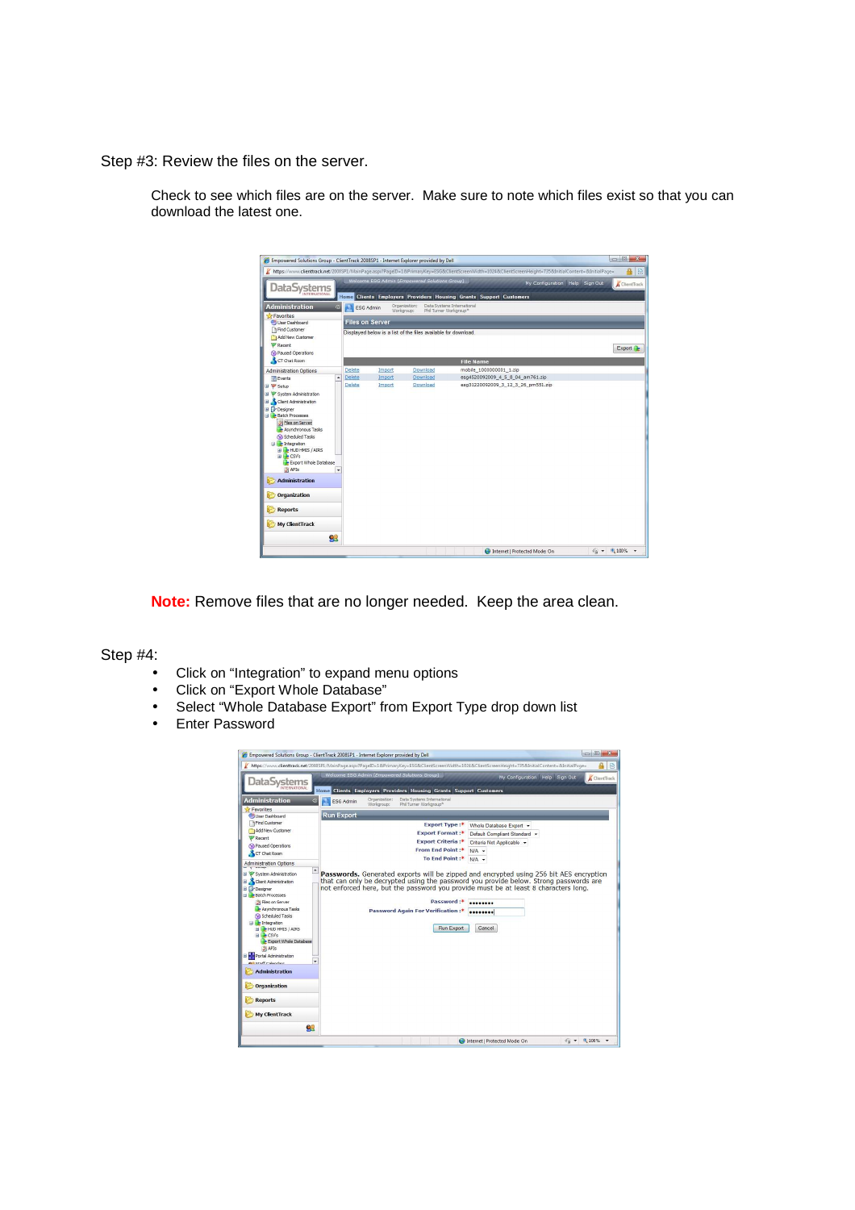Step #3: Review the files on the server.



Check to see which files are on the server. Make sure to note which files exist so that you can download the latest one.

**Note:** Remove files that are no longer needed. Keep the area clean.

Step #4:

- Click on "Integration" to expand menu options
- Click on "Export Whole Database"
- Select "Whole Database Export" from Export Type drop down list
- Enter Password

|                                                                                                                                                                                                                                                                                                                               | Empowered Solutions Group - ClientTrack 2008SP1 - Internet Explorer provided by Dell                                                                                                                                                          | $\Box$ $\Box$                                 |
|-------------------------------------------------------------------------------------------------------------------------------------------------------------------------------------------------------------------------------------------------------------------------------------------------------------------------------|-----------------------------------------------------------------------------------------------------------------------------------------------------------------------------------------------------------------------------------------------|-----------------------------------------------|
|                                                                                                                                                                                                                                                                                                                               | https://www.clienttrack.net/2008SP1/MainPage.aspx?PageID=1&PrimaryKey=ESG&ClientScreenWidth=1024&ClientScreenHeight=735&InitialContent=&InitialPage=<br>Welcome ESG Admin (Empowered Solutions Group)                                         | 录                                             |
| DataSvstems                                                                                                                                                                                                                                                                                                                   |                                                                                                                                                                                                                                               | My Configuration Help Sign Out<br>ClientTrack |
| INTERNATIONAL                                                                                                                                                                                                                                                                                                                 | Home Clients Employers Providers Housing Grants Support Customers                                                                                                                                                                             |                                               |
| <b>Administration</b><br>$\overline{\mathbf{x}}$                                                                                                                                                                                                                                                                              | Organization:<br>Data Systems International<br>ESG Admin<br>Workgroup:<br>Phil Turner Workproup*                                                                                                                                              |                                               |
| <b>S</b> Favorites                                                                                                                                                                                                                                                                                                            |                                                                                                                                                                                                                                               |                                               |
| <b>User Dashboard</b>                                                                                                                                                                                                                                                                                                         | <b>Run Export</b>                                                                                                                                                                                                                             |                                               |
| 1 Find Customer<br>Add New Customer                                                                                                                                                                                                                                                                                           | <b>Export Type:*</b>                                                                                                                                                                                                                          | Whole Database Export +                       |
| Recent                                                                                                                                                                                                                                                                                                                        | <b>Export Format:*</b>                                                                                                                                                                                                                        | Default Compliant Standard +                  |
| Paused Operations                                                                                                                                                                                                                                                                                                             | <b>Export Criteria:*</b>                                                                                                                                                                                                                      | Criteria Not Applicable v                     |
| CT Chat Room                                                                                                                                                                                                                                                                                                                  | From End Point:*                                                                                                                                                                                                                              | $N/A$ $\sim$                                  |
| <b>Administration Options</b>                                                                                                                                                                                                                                                                                                 | To End Point:*                                                                                                                                                                                                                                | $N/A$ $\sim$                                  |
| System Administration                                                                                                                                                                                                                                                                                                         | Passwords. Generated exports will be zipped and encrypted using 256 bit AES encryption                                                                                                                                                        |                                               |
| Client Administration<br><b>El</b> Designer<br>Batch Processes<br>Files on Server<br>Asynchronous Tasks<br>Scheduled Tasks<br><b>El Entegration</b><br><b>HILL-HUD HMIS / AIRS</b><br>$H \rightarrow CSVs$<br>Export Whole Database<br>APIs<br>El Portal Administration<br><b>00 Ctsff Calandare</b><br><b>Administration</b> | that can only be decrypted using the password you provide below. Strong passwords are<br>not enforced here, but the password you provide must be at least 8 characters long.<br>Password:*<br>Password Again For Verification:*<br>Run Export | <br>Cancel                                    |
| Organization<br><b>Reports</b>                                                                                                                                                                                                                                                                                                |                                                                                                                                                                                                                                               |                                               |
| <b>My ClientTrack</b><br>92                                                                                                                                                                                                                                                                                                   |                                                                                                                                                                                                                                               |                                               |
|                                                                                                                                                                                                                                                                                                                               |                                                                                                                                                                                                                                               |                                               |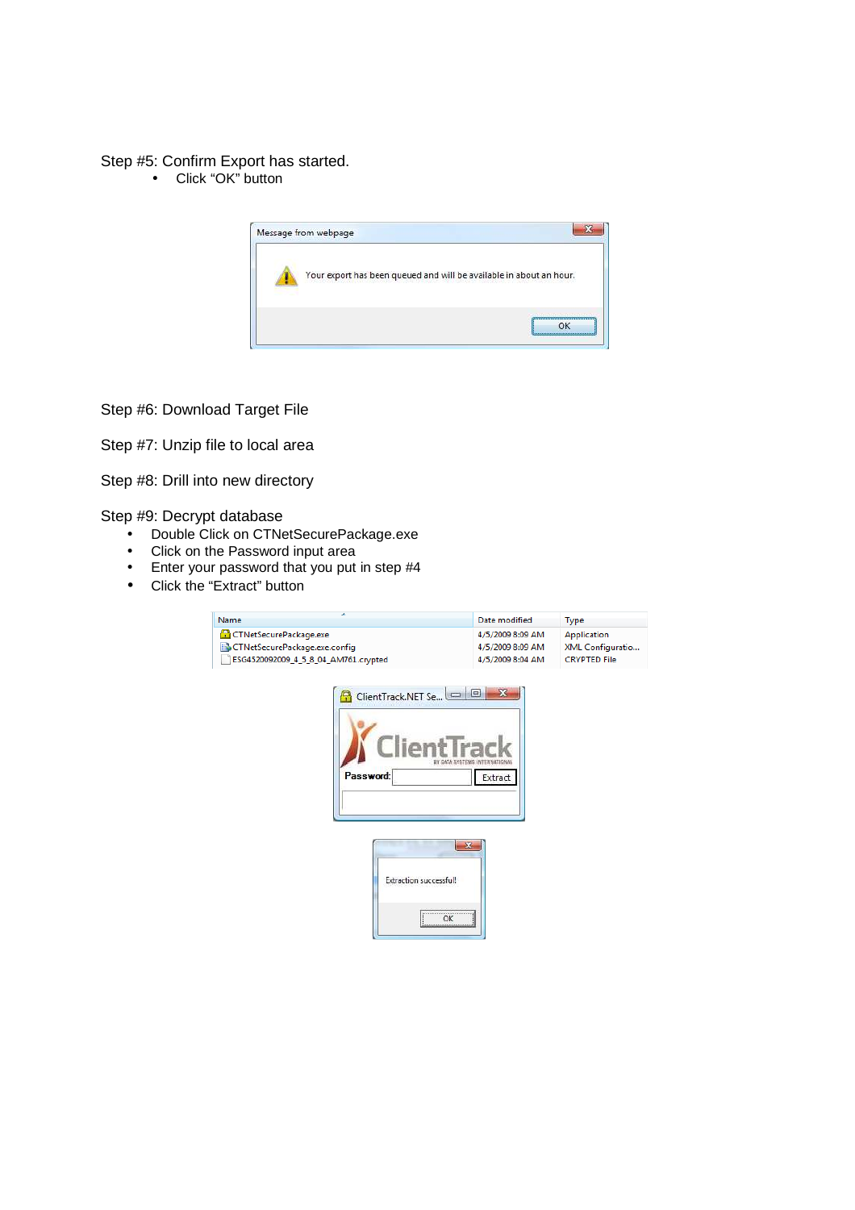## Step #5: Confirm Export has started.

• Click "OK" button



Step #6: Download Target File

Step #7: Unzip file to local area

Step #8: Drill into new directory

Step #9: Decrypt database

- Double Click on CTNetSecurePackage.exe
- Click on the Password input area
- Enter your password that you put in step #4
- Click the "Extract" button

| Name                                 |                                                                                                                           | Date modified       | <b>Type</b>      |
|--------------------------------------|---------------------------------------------------------------------------------------------------------------------------|---------------------|------------------|
| CTNetSecurePackage.exe               |                                                                                                                           | 4/5/2009 8:09 AM    | Application      |
| CTNetSecurePackage.exe.config        |                                                                                                                           | 4/5/2009 8:09 AM    | XML Configuratio |
| ESG4520092009_4_5_8_04_AM761.crypted | 4/5/2009 8:04 AM                                                                                                          | <b>CRYPTED File</b> |                  |
| Password:                            | ClientTrack.NET Se<br>Clien<br>$\mathbf{x}$<br><b>Extraction successful!</b><br>,,,,,,,,,,,,,,,,,,,,,,,,,,,,,,,,,,,<br>ОК | $\Box$<br>Extract   |                  |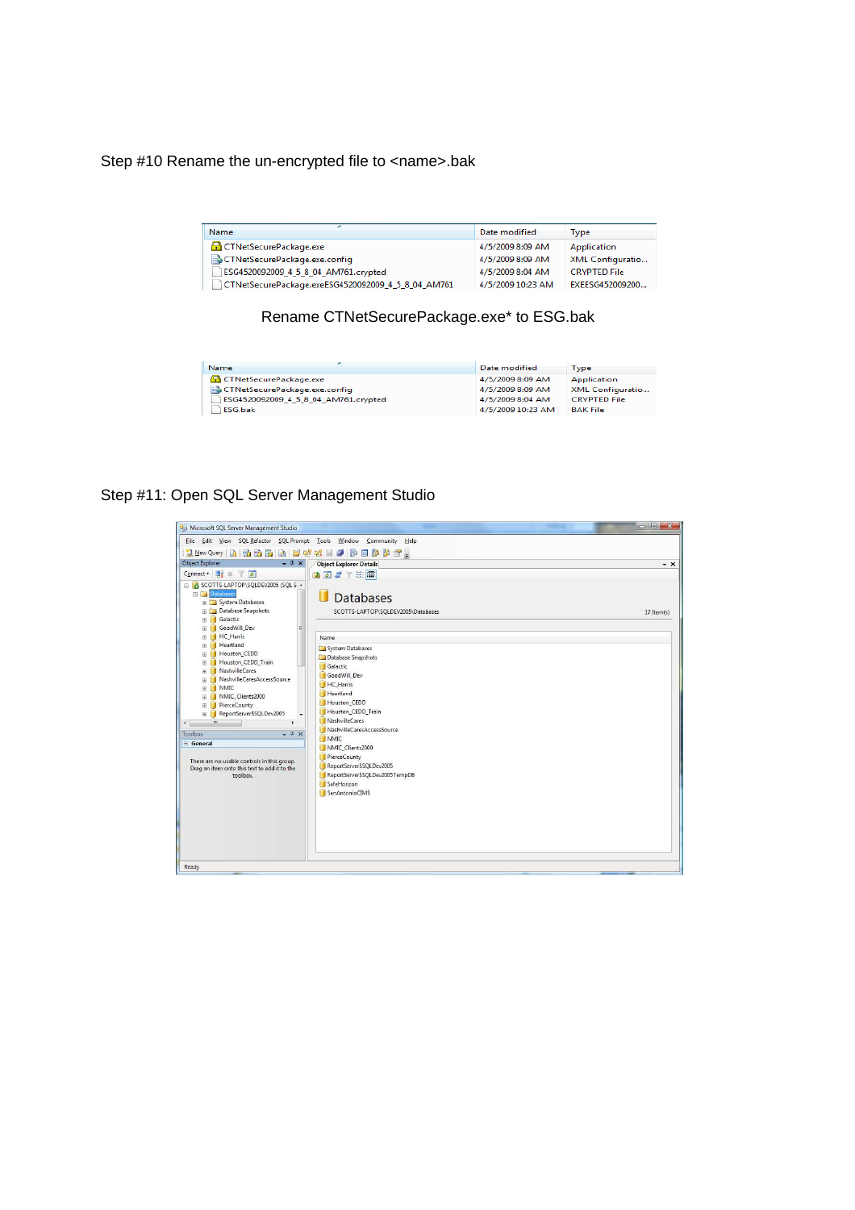Step #10 Rename the un-encrypted file to <name>.bak

| <b>Name</b>                                        | Date modified     | Type                |
|----------------------------------------------------|-------------------|---------------------|
| <b>CTNetSecurePackage.exe</b>                      | 4/5/2009 8:09 AM  | Application         |
| CTNetSecurePackage.exe.config                      | 4/5/2009 8:09 AM  | XML Configuratio    |
| ESG4520092009_4_5_8_04_AM761.crypted               | 4/5/2009 8:04 AM  | <b>CRYPTED File</b> |
| CTNetSecurePackage.exeESG4520092009_4_5_8_04_AM761 | 4/5/2009 10:23 AM | EXEESG452009200     |

## Rename CTNetSecurePackage.exe\* to ESG.bak

| <b>Name</b>                          | Date modified     | <b>Type</b>             |
|--------------------------------------|-------------------|-------------------------|
| CTNetSecurePackage.exe               | 4/5/2009 8:09 AM  | <b>Application</b>      |
| CTNetSecurePackage.exe.config        | 4/5/2009 8:09 AM  | <b>XML Configuratio</b> |
| ESG4520092009_4_5_8_04_AM761.crypted | 4/5/2009 8:04 AM  | <b>CRYPTED File</b>     |
| <b>FSG.bak</b>                       | 4/5/2009 10:23 AM | <b>BAK File</b>         |

## Step #11: Open SQL Server Management Studio

| Microsoft SQL Server Management Studio                                                                                                                                                                                                                                                                                                                                                                                |                                                                                                                                                                                                                                                                                                                                            |                  |
|-----------------------------------------------------------------------------------------------------------------------------------------------------------------------------------------------------------------------------------------------------------------------------------------------------------------------------------------------------------------------------------------------------------------------|--------------------------------------------------------------------------------------------------------------------------------------------------------------------------------------------------------------------------------------------------------------------------------------------------------------------------------------------|------------------|
| File Edit View SQL Refactor SQL Prompt Tools Window Community Help                                                                                                                                                                                                                                                                                                                                                    |                                                                                                                                                                                                                                                                                                                                            |                  |
| (Liew Query b) 融融路险 区域联盟同盟部署。                                                                                                                                                                                                                                                                                                                                                                                         |                                                                                                                                                                                                                                                                                                                                            |                  |
| <b>Object Explorer</b><br>$-1 \times$                                                                                                                                                                                                                                                                                                                                                                                 | <b>Object Explorer Details</b>                                                                                                                                                                                                                                                                                                             | $\star$ $\times$ |
| Connect · 思 三 了 #                                                                                                                                                                                                                                                                                                                                                                                                     | 国君子医用                                                                                                                                                                                                                                                                                                                                      |                  |
| SCOTTS-LAPTOP\SQLDEV2005 (SQL S A<br><b>Databases</b><br>Fig. System Databases<br><b>El Database Snapshots</b><br>Galactic<br>田                                                                                                                                                                                                                                                                                       | П<br><b>Databases</b><br>SCOTTS-LAPTOP\SQLDEV2005\Databases                                                                                                                                                                                                                                                                                | 17 Item(s)       |
| GoodWill Dev<br>L.<br>田                                                                                                                                                                                                                                                                                                                                                                                               |                                                                                                                                                                                                                                                                                                                                            |                  |
| <b>HC</b> Harris<br>田<br>Heartland<br>团                                                                                                                                                                                                                                                                                                                                                                               | Name                                                                                                                                                                                                                                                                                                                                       |                  |
| Houston CEDD<br>围<br>Houston_CEDD_Train<br>田<br>NashvilleCares<br>ш<br>田<br>NashvilleCaresAccessSource<br>田<br><b>NMIC</b><br>í I<br>围<br>NMIC Clients2000<br>田<br><b>PierceCounty</b><br>П<br>田<br>ReportServerSSQLDev2005<br>ш<br>团<br>$\overline{\mathbf{m}}$<br>∢<br>Toolbox<br>$-1 \times$<br>General<br>There are no usable controls in this group.<br>Drag an item onto this text to add it to the<br>toolbox. | System Databases<br>Database Snapshots<br>Galactic<br>GoodWill Dev<br><b>HC</b> Harris<br><b>Heartland</b><br>Houston CEDD<br>Houston_CEDD_Train<br>NashvilleCares<br>NashvilleCaresAccessSource<br>NMIC<br>NMIC_Clients2000<br>PierceCounty<br>ReportServer\$SQLDev2005<br>ReportServerSSQLDev2005TempDB<br>SafeHorizon<br>SanAntonioCIMS |                  |
| Ready                                                                                                                                                                                                                                                                                                                                                                                                                 |                                                                                                                                                                                                                                                                                                                                            |                  |
|                                                                                                                                                                                                                                                                                                                                                                                                                       |                                                                                                                                                                                                                                                                                                                                            |                  |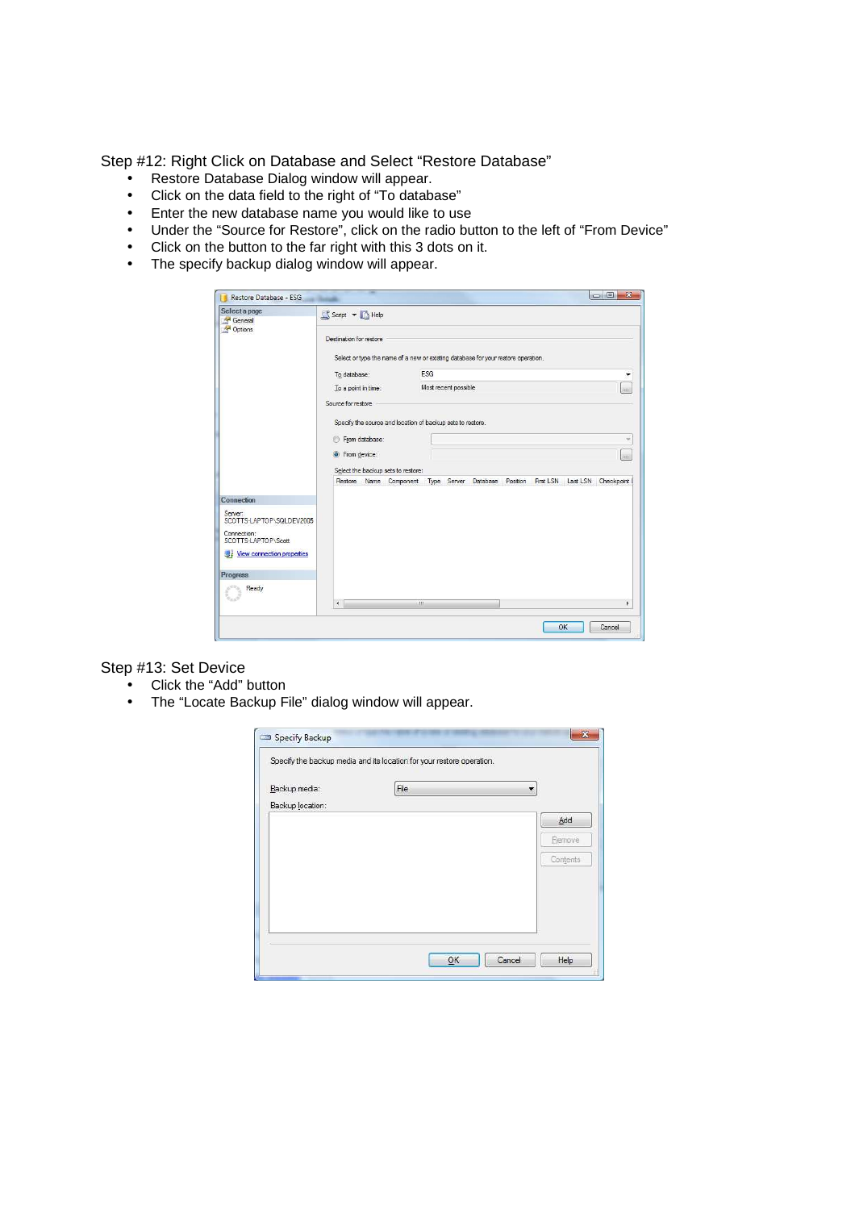Step #12: Right Click on Database and Select "Restore Database"

- Restore Database Dialog window will appear.
- Click on the data field to the right of "To database"
- Enter the new database name you would like to use
- Under the "Source for Restore", click on the radio button to the left of "From Device"
- Click on the button to the far right with this 3 dots on it.
- The specify backup dialog window will appear.

| Restore Database - ESG              |                                                                                                              |   |                      |  |           |    | $\overline{\mathbf{x}}$<br>$= 0$ |
|-------------------------------------|--------------------------------------------------------------------------------------------------------------|---|----------------------|--|-----------|----|----------------------------------|
| Select a page<br>General<br>Options | Script - Help                                                                                                |   |                      |  |           |    |                                  |
|                                     | Destination for restore<br>Select or type the name of a new or existing database for your restore operation. |   |                      |  |           |    |                                  |
|                                     | To database:                                                                                                 |   | ESG                  |  |           |    | ۳                                |
|                                     | To a point in time:                                                                                          |   | Most recent possible |  |           |    | $\sim$                           |
|                                     | Source for restore                                                                                           |   |                      |  |           |    |                                  |
|                                     | Specify the source and location of backup sets to restore.<br>From database:                                 |   |                      |  |           |    |                                  |
|                                     | • From device:                                                                                               |   |                      |  |           |    | $\sim$                           |
|                                     | Select the backup sets to restore:                                                                           |   |                      |  |           |    |                                  |
|                                     | Restore Name Component Type Server Database Position                                                         |   |                      |  | First LSN |    | Last LSN Checkpoint              |
| Connection                          |                                                                                                              |   |                      |  |           |    |                                  |
| Server:<br>SCOTTS-LAPTOP\SQLDEV2005 |                                                                                                              |   |                      |  |           |    |                                  |
| Connection:<br>SCOTTS-LAPTOP\Scott  |                                                                                                              |   |                      |  |           |    |                                  |
| <b>Wew connection properties</b>    |                                                                                                              |   |                      |  |           |    |                                  |
| <b>Progress</b>                     |                                                                                                              |   |                      |  |           |    |                                  |
| Ready                               | $\overline{4}$                                                                                               | m |                      |  |           |    | k                                |
|                                     |                                                                                                              |   |                      |  |           | OK | Cancel                           |

Step #13: Set Device

- Click the "Add" button
- The "Locate Backup File" dialog window will appear.

|                  | Specify the backup media and its location for your restore operation. |          |
|------------------|-----------------------------------------------------------------------|----------|
| Backup media:    | File                                                                  | ۰        |
| Backup location: |                                                                       |          |
|                  |                                                                       | Add      |
|                  |                                                                       | Remove   |
|                  |                                                                       | Contents |
|                  |                                                                       |          |
|                  |                                                                       |          |
|                  |                                                                       |          |
|                  |                                                                       |          |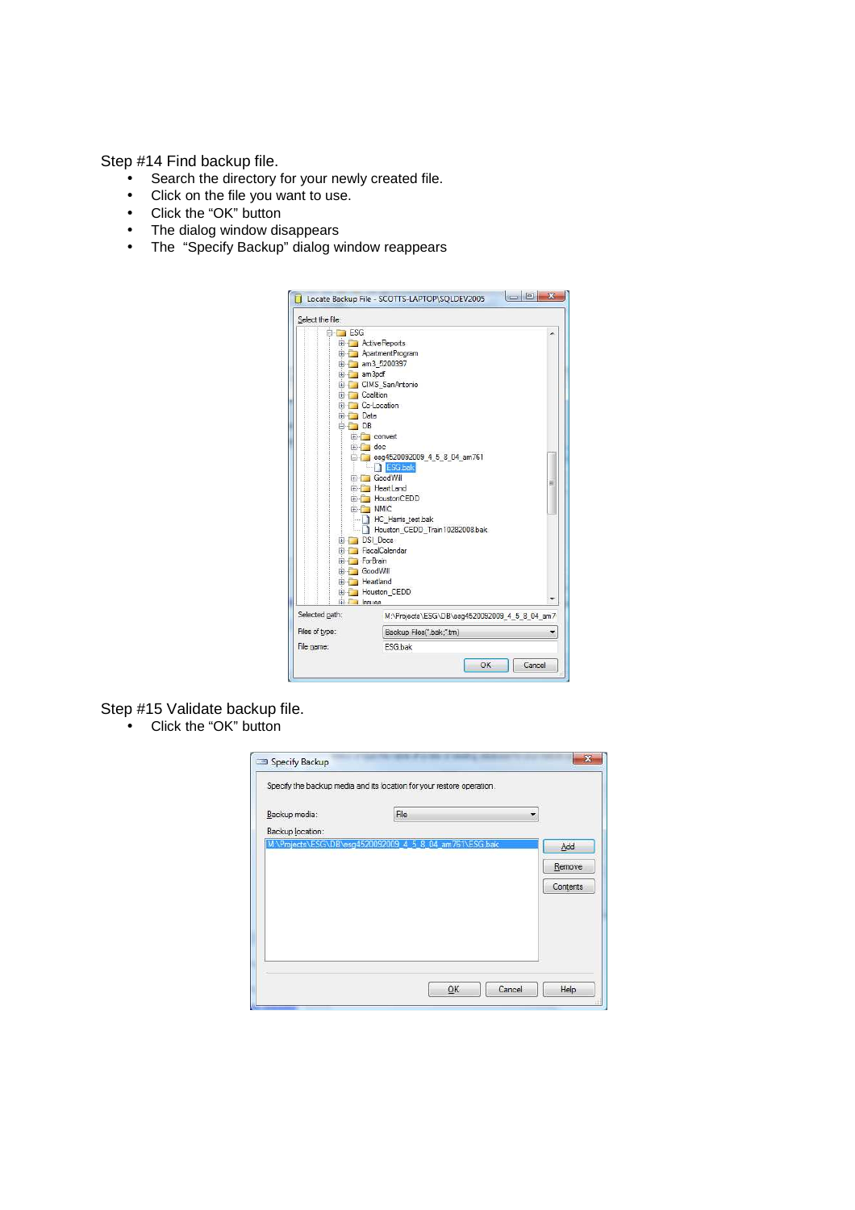Step #14 Find backup file.

- Search the directory for your newly created file.
- Click on the file you want to use.
- Click the "OK" button
- The dialog window disappears
- The "Specify Backup" dialog window reappears



Step #15 Validate backup file.

• Click the "OK" button

|                  | Specify the backup media and its location for your restore operation. |          |
|------------------|-----------------------------------------------------------------------|----------|
| Backup media:    | File                                                                  | ×        |
| Backup location: |                                                                       |          |
|                  | M:\Projects\ESG\DB\esg4520092009_4_5_8_04_am761\ESG.bak               | Add      |
|                  |                                                                       | Remove   |
|                  |                                                                       | Contents |
|                  |                                                                       |          |
|                  |                                                                       |          |
|                  |                                                                       |          |
|                  |                                                                       |          |
|                  |                                                                       |          |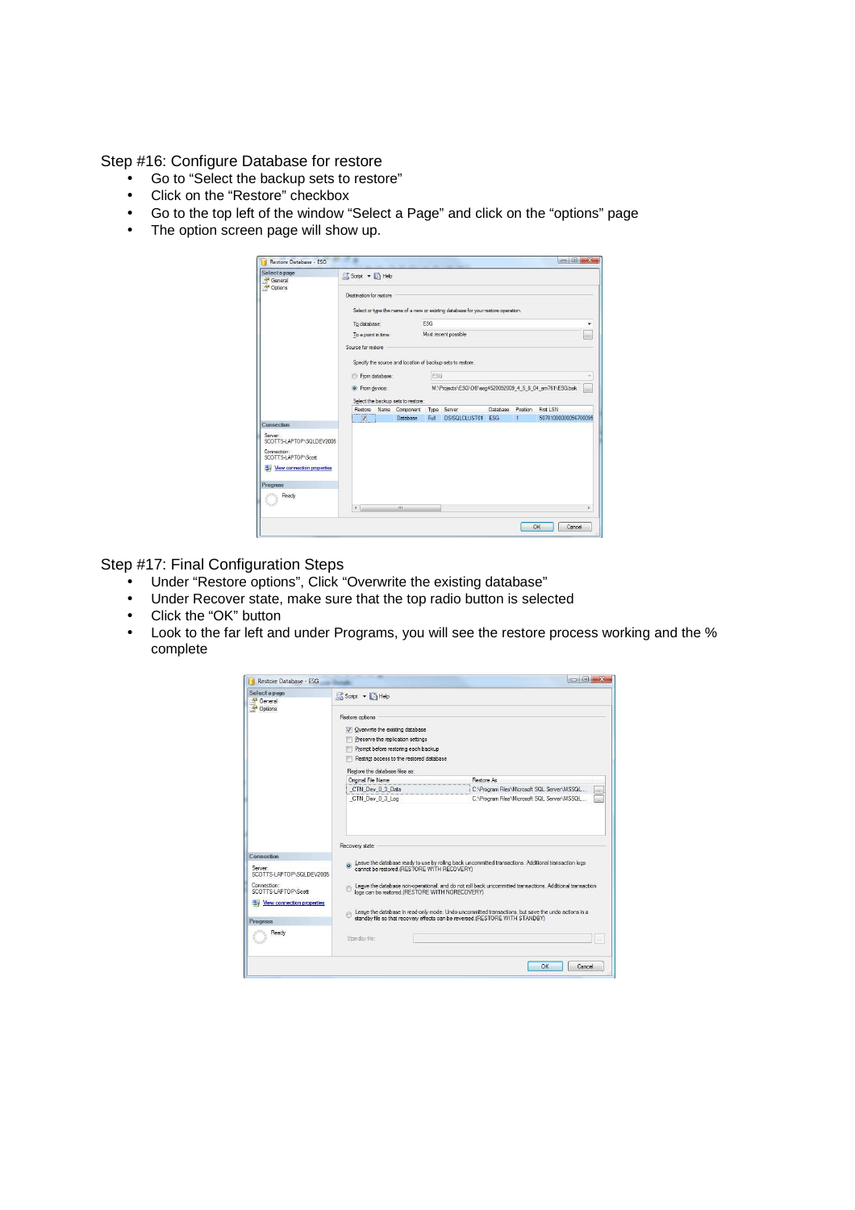Step #16: Configure Database for restore

- Go to "Select the backup sets to restore"
- Click on the "Restore" checkbox
- Go to the top left of the window "Select a Page" and click on the "options" page
- The option screen page will show up.

| Select a page<br>General            | Script + B Help     |                |                         |                                                                 |                      |                                                                                   |                             |        |                      |
|-------------------------------------|---------------------|----------------|-------------------------|-----------------------------------------------------------------|----------------------|-----------------------------------------------------------------------------------|-----------------------------|--------|----------------------|
| Options                             |                     |                | Destination for restore |                                                                 |                      |                                                                                   |                             |        |                      |
|                                     |                     |                |                         |                                                                 |                      | Select or type the name of a new or existing database for your restore operation. |                             |        |                      |
|                                     |                     | To database:   |                         |                                                                 | ESG                  |                                                                                   |                             |        | ٠                    |
|                                     | To a point in time: |                |                         |                                                                 | Most recent possible |                                                                                   |                             | $\sim$ |                      |
|                                     | Source for restore  |                |                         |                                                                 |                      |                                                                                   |                             |        |                      |
|                                     |                     |                |                         |                                                                 |                      | Specify the source and location of backup sets to restore.                        |                             |        |                      |
|                                     |                     |                | <b>C</b> From database: |                                                                 | ESG                  |                                                                                   |                             |        | v                    |
|                                     |                     |                |                         |                                                                 |                      |                                                                                   |                             |        |                      |
|                                     | • From device:      |                |                         | M:\Projects\ESG\DB\esg4520092009_4_5_8_04_am761\ESG.bak<br>in 1 |                      |                                                                                   |                             |        |                      |
|                                     |                     |                |                         | Select the backup sets to restore:<br>Restore Name Component    |                      | Type Server                                                                       | Database Position First LSN |        |                      |
|                                     |                     | $\overline{v}$ |                         | Database                                                        | Full                 | DSISQLCLUST01 ESG                                                                 |                             | 1      | 50781000000056700095 |
| Connection                          |                     |                |                         |                                                                 |                      |                                                                                   |                             |        |                      |
| Server:<br>SCOTTS-LAPTOP\SQLDEV2005 |                     |                |                         |                                                                 |                      |                                                                                   |                             |        |                      |
| Connection:                         |                     |                |                         |                                                                 |                      |                                                                                   |                             |        |                      |
| SCOTTS-LAPTOP\Scott                 |                     |                |                         |                                                                 |                      |                                                                                   |                             |        |                      |
| Mew connection properties           |                     |                |                         |                                                                 |                      |                                                                                   |                             |        |                      |
| Progress                            |                     |                |                         |                                                                 |                      |                                                                                   |                             |        |                      |
| Ready                               |                     |                |                         |                                                                 |                      |                                                                                   |                             |        |                      |
|                                     |                     |                |                         |                                                                 |                      |                                                                                   |                             |        |                      |
|                                     | $\leftarrow$        |                |                         | m                                                               |                      |                                                                                   |                             |        | r                    |

Step #17: Final Configuration Steps

- Under "Restore options", Click "Overwrite the existing database"<br>• Under Recover state, make sure that the top radio button is selected
- Under Recover state, make sure that the top radio button is selected
- Click the "OK" button
- Look to the far left and under Programs, you will see the restore process working and the % complete

| Restore options<br>V Overwrite the existing database<br>Preserve the replication settings<br>Promot before restoring each backup<br>Restrict access to the restored database<br>Restore the database files as:<br>Original File Name<br>CTN Dev 0 3 Data<br>CTN Dev 0 3 Log | Restore As<br>C:\Program Files\Microsoft SQL Server\MSSQL<br><b>State</b><br>C:\Program Files\Microsoft SQL Server\MSSQL<br><b>Cont</b>                                             |
|-----------------------------------------------------------------------------------------------------------------------------------------------------------------------------------------------------------------------------------------------------------------------------|-------------------------------------------------------------------------------------------------------------------------------------------------------------------------------------|
| Recovery state                                                                                                                                                                                                                                                              |                                                                                                                                                                                     |
| cannot be restored.(RESTORE WITH RECOVERY)                                                                                                                                                                                                                                  | Leave the database ready to use by rolling back uncommitted transactions. Additional transaction logs                                                                               |
| logs can be restored (RESTORE WITH NORECOVERY)                                                                                                                                                                                                                              | Leave the database non-operational, and do not roll back uncommitted transactions. Additional transaction                                                                           |
|                                                                                                                                                                                                                                                                             | Leave the database in read-only mode. Undo uncommitted transactions, but save the undo actions in a<br>standby file so that recovery effects can be reversed.(RESTORE WITH STANDBY) |
| Standby file:                                                                                                                                                                                                                                                               |                                                                                                                                                                                     |
|                                                                                                                                                                                                                                                                             |                                                                                                                                                                                     |